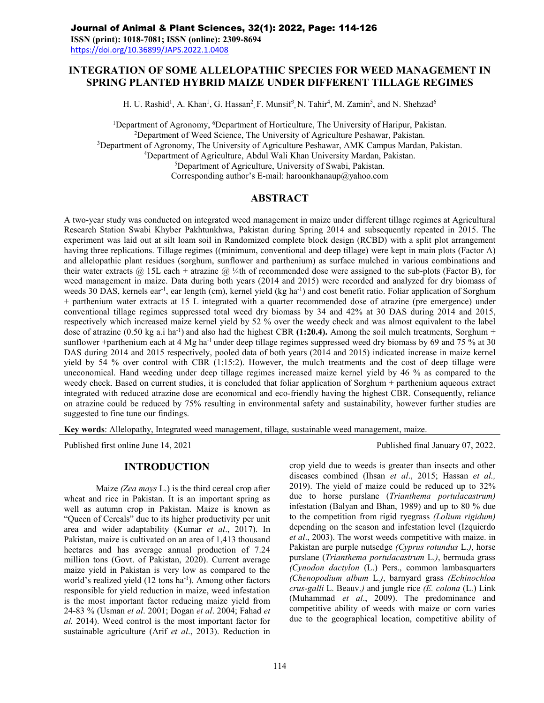## **INTEGRATION OF SOME ALLELOPATHIC SPECIES FOR WEED MANAGEMENT IN SPRING PLANTED HYBRID MAIZE UNDER DIFFERENT TILLAGE REGIMES**

H. U. Rashid<sup>1</sup>, A. Khan<sup>1</sup>, G. Hassan<sup>2</sup>, F. Munsif<sup>3</sup>, N. Tahir<sup>4</sup>, M. Zamin<sup>5</sup>, and N. Shehzad<sup>6</sup>

<sup>1</sup>Department of Agronomy, <sup>6</sup>Department of Horticulture, The University of Haripur, Pakistan. Department of Weed Science, The University of Agriculture Peshawar, Pakistan. Department of Agronomy, The University of Agriculture Peshawar, AMK Campus Mardan, Pakistan. Department of Agriculture, Abdul Wali Khan University Mardan, Pakistan. Department of Agriculture, University of Swabi, Pakistan. Corresponding author's E-mail: haroonkhanaup@yahoo.com

### **ABSTRACT**

A two-year study was conducted on integrated weed management in maize under different tillage regimes at Agricultural Research Station Swabi Khyber Pakhtunkhwa, Pakistan during Spring 2014 and subsequently repeated in 2015. The experiment was laid out at silt loam soil in Randomized complete block design (RCBD) with a split plot arrangement having three replications. Tillage regimes ((minimum, conventional and deep tillage) were kept in main plots (Factor A) and allelopathic plant residues (sorghum, sunflower and parthenium) as surface mulched in various combinations and their water extracts  $(a)$  15L each + atrazine  $(a)$  ¼th of recommended dose were assigned to the sub-plots (Factor B), for weed management in maize. Data during both years (2014 and 2015) were recorded and analyzed for dry biomass of weeds 30 DAS, kernels ear<sup>-1</sup>, ear length (cm), kernel yield (kg ha<sup>-1</sup>) and cost benefit ratio. Foliar application of Sorghum + parthenium water extracts at 15 L integrated with a quarter recommended dose of atrazine (pre emergence) under conventional tillage regimes suppressed total weed dry biomass by 34 and 42% at 30 DAS during 2014 and 2015, respectively which increased maize kernel yield by 52 % over the weedy check and was almost equivalent to the label dose of atrazine (0.50 kg a.i ha<sup>-1</sup>) and also had the highest CBR (1:20.4). Among the soil mulch treatments, Sorghum + sunflower +parthenium each at 4 Mg ha<sup>-1</sup> under deep tillage regimes suppressed weed dry biomass by 69 and 75 % at 30 DAS during 2014 and 2015 respectively, pooled data of both years (2014 and 2015) indicated increase in maize kernel yield by 54 % over control with CBR (1:15:2). However, the mulch treatments and the cost of deep tillage were uneconomical. Hand weeding under deep tillage regimes increased maize kernel yield by 46 % as compared to the weedy check. Based on current studies, it is concluded that foliar application of Sorghum + parthenium aqueous extract integrated with reduced atrazine dose are economical and eco-friendly having the highest CBR. Consequently, reliance on atrazine could be reduced by 75% resulting in environmental safety and sustainability, however further studies are suggested to fine tune our findings.

**Key words**: Allelopathy, Integrated weed management, tillage, sustainable weed management, maize.

Published first online June 14, 2021 Published final January 07, 2022.

# **INTRODUCTION**

Maize *(Zea mays* L.) is the third cereal crop after wheat and rice in Pakistan. It is an important spring as well as autumn crop in Pakistan. Maize is known as "Queen of Cereals" due to its higher productivity per unit area and wider adaptability (Kumar *et al*., 2017). In Pakistan, maize is cultivated on an area of 1,413 thousand hectares and has average annual production of 7.24 million tons (Govt. of Pakistan, 2020). Current average maize yield in Pakistan is very low as compared to the world's realized yield (12 tons ha<sup>-1</sup>). Among other factors responsible for yield reduction in maize, weed infestation is the most important factor reducing maize yield from 24-83 % (Usman *et al*. 2001; Dogan *et al*. 2004; Fahad *et al.* 2014). Weed control is the most important factor for sustainable agriculture (Arif *et al*., 2013). Reduction in

crop yield due to weeds is greater than insects and other diseases combined (Ihsan *et al*., 2015; Hassan *et al.,* 2019). The yield of maize could be reduced up to 32% due to horse purslane (*Trianthema portulacastrum)* infestation (Balyan and Bhan, 1989) and up to 80 % due to the competition from rigid ryegrass *(Lolium rigidum)* depending on the season and infestation level (Izquierdo *et al*., 2003). The worst weeds competitive with maize. in Pakistan are purple nutsedge *(Cyprus rotundus* L.*)*, horse purslane (*Trianthema portulacastrum* L.*)*, bermuda grass *(Cynodon dactylon* (L.) Pers., common lambasquarters *(Chenopodium album* L.*)*, barnyard grass *(Echinochloa crus-galli* L. Beauv.*)* and jungle rice *(E.colona* (L.) Link (Muhammad *et al*., 2009). The predominance and competitive ability of weeds with maize or corn varies due to the geographical location, competitive ability of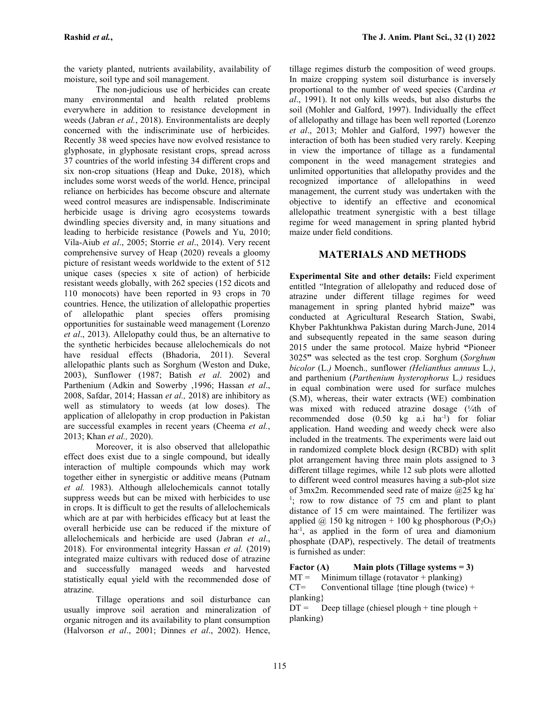the variety planted, nutrients availability, availability of moisture, soil type and soil management.

The non-judicious use of herbicides can create many environmental and health related problems everywhere in addition to resistance development in weeds (Jabran *et al.*, 2018). Environmentalists are deeply concerned with the indiscriminate use of herbicides. Recently 38 weed species have now evolved resistance to glyphosate, in glyphosate resistant crops, spread across 37 countries of the world infesting 34 different crops and six non-crop situations (Heap and Duke, 2018), which includes some worst weeds of the world. Hence, principal reliance on herbicides has become obscure and alternate weed control measures are indispensable. Indiscriminate herbicide usage is driving agro ecosystems towards dwindling species diversity and, in many situations and leading to herbicide resistance (Powels and Yu, 2010; Vila-Aiub *et al*., 2005; Storrie *et al*., 2014). Very recent comprehensive survey of Heap (2020) reveals a gloomy picture of resistant weeds worldwide to the extent of 512 unique cases (species x site of action) of herbicide resistant weeds globally, with 262 species (152 dicots and 110 monocots) have been reported in 93 crops in 70 countries. Hence, the utilization of allelopathic properties of allelopathic plant species offers promising opportunities for sustainable weed management (Lorenzo *et al*., 2013). Allelopathy could thus, be an alternative to the synthetic herbicides because allelochemicals do not have residual effects (Bhadoria, 2011). Several allelopathic plants such as Sorghum (Weston and Duke, 2003), Sunflower (1987; Batish *et al*. 2002) and Parthenium (Adkin and Sowerby ,1996; Hassan *et al*., 2008, Safdar, 2014; Hassan *et al.,* 2018) are inhibitory as well as stimulatory to weeds (at low doses). The application of allelopathy in crop production in Pakistan are successful examples in recent years (Cheema *et al.*, 2013; Khan *et al.,* 2020).

Moreover, it is also observed that allelopathic effect does exist due to a single compound, but ideally interaction of multiple compounds which may work together either in synergistic or additive means (Putnam *et al.* 1983). Although allelochemicals cannot totally suppress weeds but can be mixed with herbicides to use in crops. It is difficult to get the results of allelochemicals which are at par with herbicides efficacy but at least the overall herbicide use can be reduced if the mixture of allelochemicals and herbicide are used (Jabran *et al*., 2018). For environmental integrity Hassan *et al.* (2019) integrated maize cultivars with reduced dose of atrazine<br>and successfully managed weeds and harvested **Factor** (A) and successfully managed weeds and harvested **Factor** relatively equal vield with the recommended dose of  $MT =$ statistically equal yield with the recommended dose of  $MT = 3$ <br>atrazine atrazine.

Tillage operations and soil disturbance can usually improve soil aeration and mineralization of organic nitrogen and its availability to plant consumption (Halvorson *et al*., 2001; Dinnes *et al*., 2002). Hence,

tillage regimes disturb the composition of weed groups. In maize cropping system soil disturbance is inversely proportional to the number of weed species (Cardina *et al*., 1991). It not only kills weeds, but also disturbs the soil (Mohler and Galford, 1997). Individually the effect of allelopathy and tillage has been well reported (Lorenzo *et al*., 2013; Mohler and Galford, 1997) however the interaction of both has been studied very rarely. Keeping in view the importance of tillage as a fundamental component in the weed management strategies and unlimited opportunities that allelopathy provides and the recognized importance of allelopathins in weed management, the current study was undertaken with the objective to identify an effective and economical allelopathic treatment synergistic with a best tillage regime for weed management in spring planted hybrid maize under field conditions.

## **MATERIALS AND METHODS**

**Experimental Site and other details:** Field experiment entitled "Integration of allelopathy and reduced dose of atrazine under different tillage regimes for weed management in spring planted hybrid maize**"** was conducted at Agricultural Research Station, Swabi, Khyber Pakhtunkhwa Pakistan during March-June, 2014 and subsequently repeated in the same season during 2015 under the same protocol. Maize hybrid **"**Pioneer 3025**"** was selected as the test crop. Sorghum (*Sorghum bicolor* (L.*)* Moench.*,* sunflower *(Helianthus annuus* L.*)*, and parthenium (*Parthenium hysterophorus* L.*)* residues in equal combination were used for surface mulches (S.M), whereas, their water extracts (WE) combination was mixed with reduced atrazine dosage (1/4th of recommended dose  $(0.50 \text{ kg} \text{ a.i} \text{ ha}^{-1})$  for foliar application. Hand weeding and weedy check were also included in the treatments. The experiments were laid out in randomized complete block design (RCBD) with split plot arrangement having three main plots assigned to 3 different tillage regimes, while 12 sub plots were allotted to different weed control measures having a sub-plot size of 3mx2m. Recommended seed rate of maize  $@25$  kg ha- $\frac{1}{1}$ ; row to row distance of 75 cm and plant to plant distance of 15 cm were maintained. The fertilizer was applied @ 150 kg nitrogen + 100 kg phosphorous ( $P_2O_5$ ) ha-1 , as applied in the form of urea and diamonium phosphate (DAP), respectively. The detail of treatments is furnished as under:

**Main** plots (Tillage systems  $= 3$ )

Minimum tillage (rotavator + planking) Conventional tillage {tine plough (twice) +

planking}

 $DT =$  Deep tillage (chiesel plough + tine plough + planking)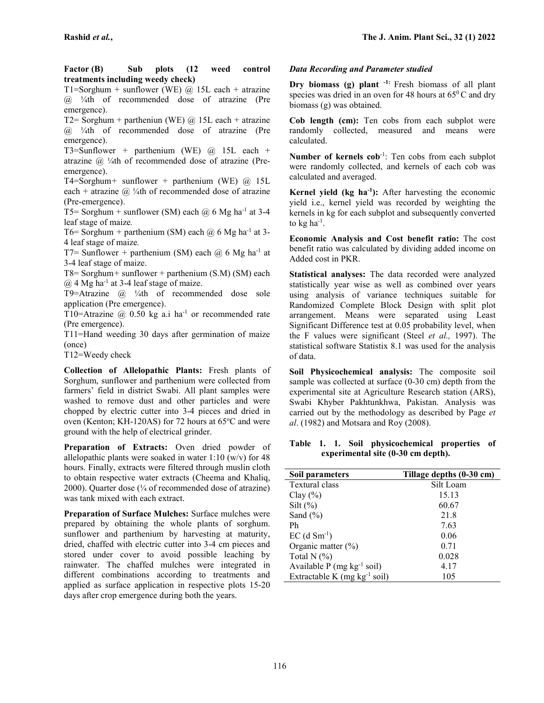**Factor (B) Sub plots (12 weed control treatments including weedy check)**

T1=Sorghum + sunflower (WE)  $@$  15L each + atrazine  $(a)$  <sup>1</sup>/<sub>4</sub>th of recommended dose of atrazine (Pre emergence).

T2= Sorghum + partheniun (WE)  $\omega$  15L each + atrazine  $(a)$  <sup>1</sup>/<sub>4</sub>th of recommended dose of atrazine (Pre emergence).

T3=Sunflower *+* parthenium (WE) @ 15L each + atrazine  $@$  ¼th of recommended dose of atrazine (Preemergence).

T4=Sorghum*+* sunflower + parthenium (WE) @ 15L each + atrazine  $\omega$  ¼th of recommended dose of atrazine (Pre-emergence).

T5= Sorghum + sunflower (SM) each  $\omega$  6 Mg ha<sup>-1</sup> at 3-4 leaf stage of maize*.*

T6= Sorghum + parthenium (SM) each  $\omega_0$  6 Mg ha<sup>-1</sup> at 3-4 leaf stage of maize*.*

T7= Sunflower + parthenium (SM) each  $\omega$  6 Mg ha<sup>-1</sup> at 3-4 leaf stage of maize.

T8= Sorghum*+* sunflower + parthenium (S.M) (SM) each  $(a)$  4 Mg ha<sup>-1</sup> at 3-4 leaf stage of maize.

T9=Atrazine  $\omega$  <sup>1</sup>/<sub>4</sub>th of recommended dose sole application (Pre emergence).

T10=Atrazine  $\omega$  0.50 kg a.i ha<sup>-1</sup> or recommended rate (Pre emergence).

T11=Hand weeding 30 days after germination of maize (once)

T12=Weedy check

**Collection of Allelopathic Plants:** Fresh plants of Sorghum, sunflower and parthenium were collected from farmers' field in district Swabi. All plant samples were washed to remove dust and other particles and were chopped by electric cutter into 3-4 pieces and dried in oven (Kenton; KH-120AS) for 72 hours at  $65^{\circ}$ C and were ground with the help of electrical grinder.

**Preparation of Extracts:** Oven dried powder of allelopathic plants were soaked in water  $1:10 \text{ (w/v)}$  for 48 hours. Finally, extracts were filtered through muslin cloth to obtain respective water extracts (Cheema and Khaliq, 2000). Quarter dose  $(\frac{1}{4}$  of recommended dose of atrazine) was tank mixed with each extract.

**Preparation of Surface Mulches:** Surface mulches were prepared by obtaining the whole plants of sorghum. sunflower and parthenium by harvesting at maturity, dried, chaffed with electric cutter into 3-4 cm pieces and stored under cover to avoid possible leaching by rainwater. The chaffed mulches were integrated in different combinations according to treatments and applied as surface application in respective plots 15-20 days after crop emergence during both the years.

#### *Data Recording and Parameter studied*

**Dry biomass (g) plant -1:** Fresh biomass of all plant species was dried in an oven for 48 hours at  $65^{\circ}$ C and dry biomass (g) was obtained.

**Cob length (cm):** Ten cobs from each subplot were randomly collected, measured and means were calculated.

**Number of kernels cob**-1 : Ten cobs from each subplot were randomly collected, and kernels of each cob was calculated and averaged.

**Kernel yield (kg ha-1):** After harvesting the economic yield i.e., kernel yield was recorded by weighting the kernels in kg for each subplot and subsequently converted to  $kg$  ha $^{-1}$ .

**Economic Analysis and Cost benefit ratio:** The cost benefit ratio was calculated by dividing added income on Added cost in PKR.

**Statistical analyses:** The data recorded were analyzed statistically year wise as well as combined over years using analysis of variance techniques suitable for Randomized Complete Block Design with split plot arrangement. Means were separated using Least Significant Difference test at 0.05 probability level, when the F values were significant (Steel *et al.,* 1997). The statistical software Statistix 8.1 was used for the analysis of data.

**Soil Physicochemical analysis:** The composite soil sample was collected at surface (0-30 cm) depth from the experimental site at Agriculture Research station (ARS), Swabi Khyber Pakhtunkhwa, Pakistan. Analysis was carried out by the methodology as described by Page *et al*. (1982) and Motsara and Roy (2008).

### **Table 1. 1. Soil physicochemical properties of experimental site (0-30 cm depth).**

| Soil parameters                          | Tillage depths (0-30 cm) |
|------------------------------------------|--------------------------|
| Textural class                           | Silt Loam                |
| Clay $(\% )$                             | 15.13                    |
| Silt $(\% )$                             | 60.67                    |
| Sand $(\% )$                             | 21.8                     |
| Ph                                       | 7.63                     |
| $EC$ (d $Sm^{-1}$ )                      | 0.06                     |
| Organic matter $(\%)$                    | 0.71                     |
| Total N $(%)$                            | 0.028                    |
| Available $P$ (mg kg <sup>-1</sup> soil) | 4.17                     |
| Extractable K (mg $kg^{-1}$ soil)        | 105                      |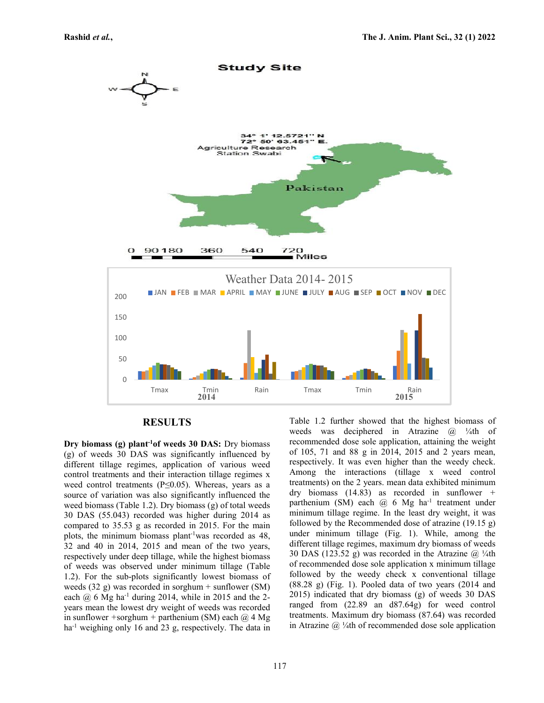

#### **RESULTS**

**Dry biomass (g) plant-1of weeds 30 DAS:** Dry biomass (g) of weeds 30 DAS was significantly influenced by different tillage regimes, application of various weed control treatments and their interaction tillage regimes x weed control treatments (P≤0.05). Whereas, years as a source of variation was also significantly influenced the weed biomass (Table 1.2). Dry biomass (g) of total weeds 30 DAS (55.043) recorded was higher during 2014 as compared to 35.53 g as recorded in 2015. For the main plots, the minimum biomass plant<sup>-1</sup>was recorded as  $48$ ,  $32$  and  $40$  in  $2014$ ,  $2015$  and mean of the two years, respectively under deep tillage, while the highest biomass of weeds was observed under minimum tillage (Table 1.2). For the sub-plots significantly lowest biomass of weeds  $(32 \text{ g})$  was recorded in sorghum + sunflower (SM) each  $\omega$  6 Mg ha<sup>-1</sup> during 2014, while in 2015 and the 2years mean the lowest dry weight of weeds was recorded in sunflower *+*sorghum *+* parthenium (SM) each @ 4 Mg ha<sup>-1</sup> weighing only 16 and 23 g, respectively. The data in Table 1.2 further showed that the highest biomass of weeds was deciphered in Atrazine  $\omega$  <sup>1</sup>/<sub>4</sub>th of recommended dose sole application, attaining the weight of 105, 71 and 88 g in 2014, 2015 and 2 years mean, respectively. It was even higher than the weedy check. Among the interactions (tillage x weed control treatments) on the 2 years. mean data exhibited minimum dry biomass (14.83) as recorded in sunflower *+* parthenium (SM) each @ 6 Mg ha<sup>-1</sup> treatment under minimum tillage regime. In the least dry weight, it was followed by the Recommended dose of atrazine (19.15 g) under minimum tillage (Fig. 1). While, among the different tillage regimes, maximum dry biomass of weeds 30 DAS (123.52 g) was recorded in the Atrazine  $\omega$  <sup>1</sup>/<sub>4</sub>th of recommended dose sole application x minimum tillage followed by the weedy check x conventional tillage  $(88.28 \text{ g})$  (Fig. 1). Pooled data of two years  $(2014 \text{ and }$ 2015) indicated that dry biomass (g) of weeds 30 DAS ranged from (22.89 an d87.64g) for weed control treatments. Maximum dry biomass (87.64) was recorded in Atrazine  $\omega$  ¼th of recommended dose sole application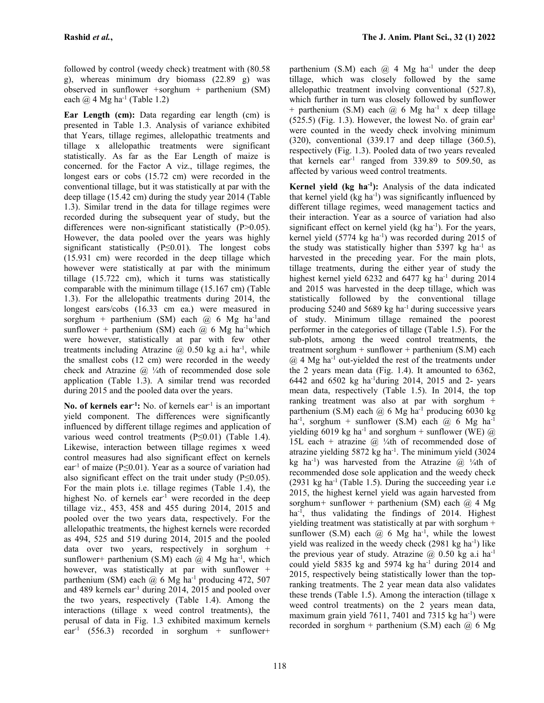followed by control (weedy check) treatment with (80.58 g), whereas minimum dry biomass  $(22.89 \text{ g})$  was observed in sunflower *+*sorghum *+* parthenium (SM) each  $\omega$  4 Mg ha<sup>-1</sup> (Table 1.2)

**Ear Length (cm):** Data regarding ear length (cm) is presented in Table 1.3. Analysis of variance exhibited that Years, tillage regimes, allelopathic treatments and tillage x allelopathic treatments were significant statistically. As far as the Ear Length of maize is concerned. for the Factor A viz., tillage regimes, the longest ears or cobs (15.72 cm) were recorded in the conventional tillage, but it was statistically at par with the deep tillage (15.42 cm) during the study year 2014 (Table 1.3). Similar trend in the data for tillage regimes were recorded during the subsequent year of study, but the differences were non-significant statistically (P>0.05). However, the data pooled over the years was highly significant statistically (P≤0.01). The longest cobs (15.931 cm) were recorded in the deep tillage which however were statistically at par with the minimum tillage (15.722 cm), which it turns was statistically comparable with the minimum tillage (15.167 cm) (Table 1.3). For the allelopathic treatments during 2014, the longest ears/cobs (16.33 cm ea.) were measured in sorghum + parthenium (SM) each  $@$  6 Mg ha<sup>-1</sup>and sunflower + parthenium (SM) each  $(a)$  6 Mg ha<sup>-1</sup>which were however, statistically at par with few other treatments including Atrazine  $(2)$  0.50 kg a.i ha<sup>-1</sup>, while tre the smallest cobs (12 cm) were recorded in the weedy check and Atrazine  $\omega$  ¼th of recommended dose sole application (Table 1.3). A similar trend was recorded during 2015 and the pooled data over the years.

**No. of kernels ear-1:** No. of kernels ear-1 is an important yield component. The differences were significantly influenced by different tillage regimes and application of various weed control treatments (P≤0.01) (Table 1.4). Likewise, interaction between tillage regimes x weed control measures had also significant effect on kernels ear<sup>-1</sup> of maize (P≤0.01). Year as a source of variation had also significant effect on the trait under study  $(P \le 0.05)$ . For the main plots i.e. tillage regimes (Table 1.4), the highest No. of kernels ear<sup>-1</sup> were recorded in the deep tillage viz., 453, 458 and 455 during 2014, 2015 and pooled over the two years data, respectively. For the allelopathic treatments, the highest kernels were recorded as 494, 525 and 519 during 2014, 2015 and the pooled data over two years, respectively in sorghum + sunflower+ parthenium (S.M) each  $@$  4 Mg ha<sup>-1</sup>, which however, was statistically at par with sunflower + parthenium (SM) each  $@6$  Mg ha<sup>-1</sup> producing 472, 507 and 489 kernels ear-1 during 2014, 2015 and pooled over the two years, respectively (Table 1.4). Among the interactions (tillage x weed control treatments), the perusal of data in Fig. 1.3 exhibited maximum kernels  $ear^{-1}$  (556.3) recorded in sorghum + sunflower+

parthenium (S.M) each  $@$  4 Mg ha<sup>-1</sup> under the deep tillage, which was closely followed by the same allelopathic treatment involving conventional (527.8), which further in turn was closely followed by sunflower + parthenium (S.M) each  $\omega$  6 Mg ha<sup>-1</sup> x deep tillage  $(525.5)$  (Fig. 1.3). However, the lowest No. of grain ear<sup>1</sup> were counted in the weedy check involving minimum (320), conventional (339.17 and deep tillage (360.5), respectively (Fig. 1.3). Pooled data of two years revealed that kernels ear<sup>-1</sup> ranged from  $339.89$  to  $509.50$ , as affected by various weed control treatments.

**Kernel yield (kg ha-1):** Analysis of the data indicated that kernel yield (kg ha<sup>-1</sup>) was significantly influenced by different tillage regimes, weed management tactics and their interaction. Year as a source of variation had also significant effect on kernel yield  $(kg ha<sup>-1</sup>)$ . For the years, kernel yield  $(5774 \text{ kg ha}^{-1})$  was recorded during 2015 of the study was statistically higher than  $5397 \text{ kg}$  ha<sup>-1</sup> as harvested in the preceding year. For the main plots, tillage treatments, during the either year of study the highest kernel yield  $6232$  and  $6477$  kg ha<sup>-1</sup> during  $2014$ and 2015 was harvested in the deep tillage, which was statistically followed by the conventional tillage producing 5240 and 5689 kg ha<sup>-1</sup> during successive years of study. Minimum tillage remained the poorest performer in the categories of tillage (Table 1.5). For the sub-plots, among the weed control treatments, the treatment sorghum + sunflower + parthenium  $(S.M)$  each  $(a)$  4 Mg ha<sup>-1</sup> out-yielded the rest of the treatments under the 2 years mean data (Fig. 1.4). It amounted to 6362, 6442 and 6502 kg ha-1during 2014, 2015 and 2- years mean data, respectively (Table 1.5). In 2014, the top ranking treatment was also at par with sorghum + parthenium (S.M) each  $(a)$  6 Mg ha<sup>-1</sup> producing 6030 kg ha<sup>-1</sup>, sorghum + sunflower (S.M) each  $@$  6 Mg ha<sup>-1</sup> yielding 6019 kg ha<sup>-1</sup> and sorghum + sunflower (WE)  $@$ 15L each + atrazine  $\omega$  ¼th of recommended dose of atrazine yielding 5872 kg ha<sup>-1</sup>. The minimum yield (3024 kg ha<sup>-1</sup>) was harvested from the Atrazine  $(a)$  <sup>1</sup>/<sub>4</sub>th of recommended dose sole application and the weedy check  $(2931 \text{ kg ha}^{-1}$  (Table 1.5). During the succeeding year i.e 2015, the highest kernel yield was again harvested from sorghum*+* sunflower + parthenium (SM) each @ 4 Mg ha-1 , thus validating the findings of 2014. Highest yielding treatment was statistically at par with sorghum + sunflower (S.M) each  $\omega$  6 Mg ha<sup>-1</sup>, while the lowest yield was realized in the weedy check  $(2981 \text{ kg ha}^{-1})$  like the previous year of study. Atrazine  $\omega$  0.50 kg a.i ha<sup>-1</sup> could yield 5835 kg and 5974 kg ha<sup>-1</sup> during 2014 and 2015, respectively being statistically lower than the topranking treatments. The 2 year mean data also validates these trends (Table 1.5). Among the interaction (tillage x weed control treatments) on the 2 years mean data, maximum grain yield 7611, 7401 and 7315 kg ha<sup>-1</sup>) were recorded in sorghum + parthenium (S.M) each  $@$  6 Mg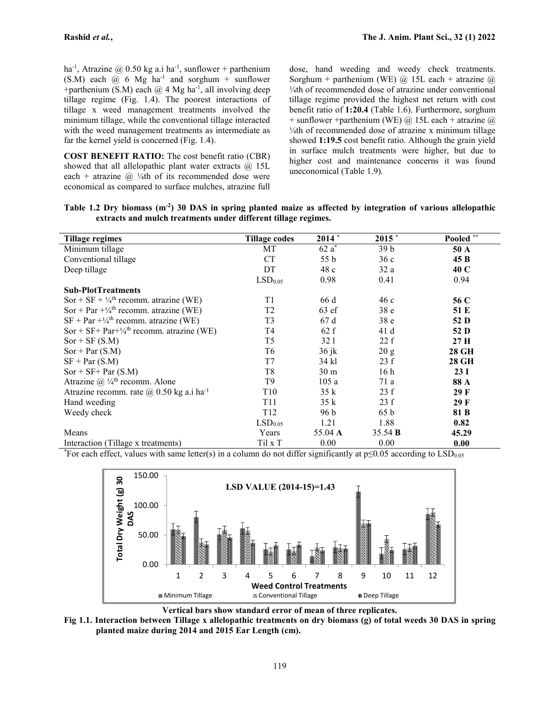ha<sup>-1</sup>, Atrazine @ 0.50 kg a.i ha<sup>-1</sup>, sunflower + parthenium dose, ha (S.M) each  $\omega$  6 Mg ha<sup>-1</sup> and sorghum + sunflower +parthenium (S.M) each  $@$  4 Mg ha<sup>-1</sup>, all involving deep  $\frac{1}{4}$ th tillage regime (Fig. 1.4). The poorest interactions of tillage x weed management treatments involved the minimum tillage, while the conventional tillage interacted with the weed management treatments as intermediate as far the kernel yield is concerned (Fig. 1.4).

**COST BENEFIT RATIO:** The cost benefit ratio (CBR) showed that all allelopathic plant water extracts  $\omega$  15L each + atrazine  $\omega$  ¼th of its recommended dose were economical as compared to surface mulches, atrazine full

dose, hand weeding and weedy check treatments. Sorghum + parthenium (WE)  $\omega$  15L each + atrazine  $\omega$ ¼th of recommended dose of atrazine under conventional tillage regime provided the highest net return with cost benefit ratio of **1:20.4** (Table 1.6). Furthermore, sorghum + sunflower +parthenium (WE)  $\omega$  15L each + atrazine  $\omega$ ¼th of recommended dose of atrazine x minimum tillage showed **1:19.5** cost benefit ratio. Although the grain yield in surface mulch treatments were higher, but due to higher cost and maintenance concerns it was found uneconomical (Table 1.9).

| Tillage regimes                                                  | <b>Tillage codes</b> | $2014 *$        | $2015$ *        | Pooled ** |
|------------------------------------------------------------------|----------------------|-----------------|-----------------|-----------|
| Minimum tillage                                                  | MT                   | $62a^*$         | 39 <sub>b</sub> | 50 A      |
| Conventional tillage                                             | <b>CT</b>            | 55 b            | 36c             | 45 B      |
| Deep tillage                                                     | DT                   | 48 c            | 32a             | 40 C      |
|                                                                  | LSD <sub>0.05</sub>  | 0.98            | 0.41            | 0.94      |
| <b>Sub-PlotTreatments</b>                                        |                      |                 |                 |           |
| Sor + SF + $\frac{1}{4}$ <sup>th</sup> recomm. atrazine (WE)     | T1                   | 66 d            | 46c             | 56 C      |
| Sor + Par $+\frac{1}{4}$ <sup>th</sup> recomm. atrazine (WE)     | T <sub>2</sub>       | $63$ ef         | 38 <sub>e</sub> | 51 E      |
| $SF + Par + \frac{1}{4}$ recomm. atrazine (WE)                   | T3                   | 67d             | 38 <sub>e</sub> | 52 D      |
| Sor + SF+ Par+ $\frac{1}{4}$ <sup>th</sup> recomm. atrazine (WE) | T4                   | 62 f            | 41 d            | 52 D      |
| $Sor + SF(S.M)$                                                  | T <sub>5</sub>       | 32 1            | 22 f            | 27 H      |
| $Sor + Par(S.M)$                                                 | T6                   | $36$ jk         | 20 g            | 28 GH     |
| $SF + Par(S.M)$                                                  | T7                   | 34 kl           | 23 f            | 28 GH     |
| $Sor + SF + Par(S.M)$                                            | T8                   | 30 <sub>m</sub> | 16 <sub>h</sub> | 23I       |
| Atrazine @ $\frac{1}{4}$ <sup>th</sup> recomm. Alone             | T9                   | 105a            | 71 a            | 88 A      |
| Atrazine recomm. rate $(a)$ 0.50 kg a.i ha <sup>-1</sup>         | T <sub>10</sub>      | 35 k            | 23 f            | 29 F      |
| Hand weeding                                                     | T <sub>11</sub>      | 35 k            | 23 f            | 29 F      |
| Weedy check                                                      | T <sub>12</sub>      | 96 b            | 65 b            | 81 B      |
|                                                                  | LSD <sub>0.05</sub>  | 1.21            | 1.88            | 0.82      |
| Means                                                            | Years                | 55.04 A         | 35.54 <b>B</b>  | 45.29     |
| Interaction (Tillage x treatments)                               | Til x T              | 0.00            | 0.00            | 0.00      |

Table 1.2 Dry biomass  $(m<sup>2</sup>)$  30 DAS in spring planted maize as affected by integration of various allelopathic **extracts and mulch treatments under different tillage regimes.**

\*For each effect, values with same letter(s) in a column do not differ significantly at  $p \le 0.05$  according to LSD<sub>0.05</sub>



**Vertical bars show standard error of mean of three replicates.**

Fig 1.1. Interaction between Tillage x allelopathic treatments on dry biomass (g) of total weeds 30 DAS in spring **planted maize during 2014 and 2015 Ear Length (cm).**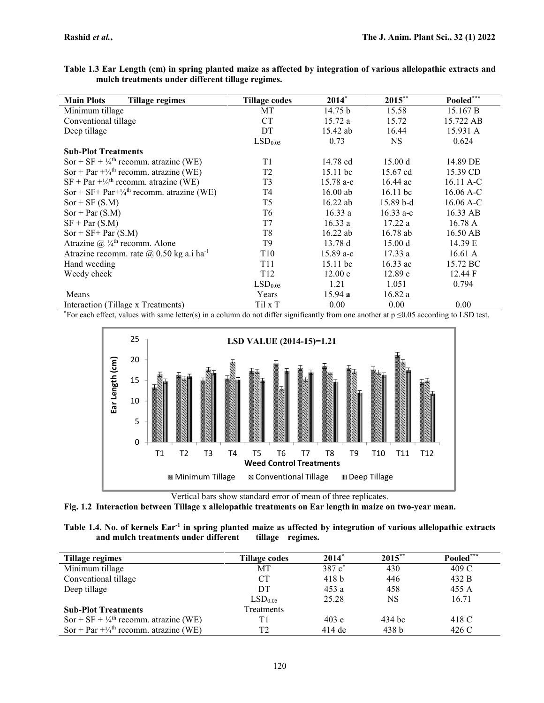Table 1.3 Ear Length (cm) in spring planted maize as affected by integration of various allelopathic extracts and **mulch treatments under different tillage regimes.**

| <b>Main Plots</b><br>Tillage regimes                             | <b>Tillage codes</b> | $2014*$     | $2015***$   | Pooled***   |
|------------------------------------------------------------------|----------------------|-------------|-------------|-------------|
| Minimum tillage                                                  | МT                   | 14.75 b     | 15.58       | 15.167 B    |
| Conventional tillage                                             | <b>CT</b>            | 15.72a      | 15.72       | 15.722 AB   |
| Deep tillage                                                     | DT                   | 15.42 ab    | 16.44       | 15.931 A    |
|                                                                  | LSD <sub>0.05</sub>  | 0.73        | <b>NS</b>   | 0.624       |
| <b>Sub-Plot Treatments</b>                                       |                      |             |             |             |
| Sor + SF + $\frac{1}{4}$ <sup>th</sup> recomm. atrazine (WE)     | T1                   | 14.78 cd    | 15.00 d     | 14.89 DE    |
| Sor + Par $+\frac{1}{4}$ <sup>th</sup> recomm. atrazine (WE)     | T <sub>2</sub>       | 15.11 bc    | 15.67 cd    | 15.39 CD    |
| $SF + Par + \frac{1}{4}$ recomm. atrazine (WE)                   | T <sub>3</sub>       | $15.78 a-c$ | $16.44$ ac  | $16.11 A-C$ |
| Sor + SF+ Par+ $\frac{1}{4}$ <sup>th</sup> recomm. atrazine (WE) | T4                   | $16.00$ ab  | $16.11$ bc  | $16.06 A-C$ |
| $Sor + SF(S.M)$                                                  | T5                   | $16.22$ ab  | $15.89b-d$  | $16.06$ A-C |
| $Sor + Par(S.M)$                                                 | T6                   | 16.33a      | $16.33 a-c$ | 16.33 AB    |
| $SF + Par(S.M)$                                                  | T7                   | 16.33 a     | 17.22a      | 16.78A      |
| $Sor + SF + Par(S.M)$                                            | T <sub>8</sub>       | $16.22$ ab  | 16.78 ab    | 16.50 AB    |
| Atrazine @ $\frac{1}{4}$ <sup>th</sup> recomm. Alone             | T9                   | 13.78d      | 15.00 d     | 14.39 E     |
| Atrazine recomm. rate $\omega$ 0.50 kg a.i ha <sup>-1</sup>      | T <sub>10</sub>      | $15.89a-c$  | 17.33a      | 16.61 A     |
| Hand weeding                                                     | T11                  | 15.11 bc    | $16.33$ ac  | 15.72 BC    |
| Weedy check                                                      | T <sub>12</sub>      | 12.00 e     | 12.89 e     | 12.44 F     |
|                                                                  | LSD <sub>0.05</sub>  | 1.21        | 1.051       | 0.794       |
| Means                                                            | Years                | 15.94 a     | 16.82a      |             |
| Interaction (Tillage x Treatments)                               | Til x T              | 0.00        | 0.00        | 0.00        |

\*For each effect, values with same letter(s) in a column do not differ significantly from one another at  $p \le 0.05$  according to LSD test.



Vertical bars show standard error of mean of three replicates.

**Fig. 1.2 Interaction between Tillage x allelopathic treatments on Ear length in maize on two-year mean.**

| Table 1.4. No. of kernels Ear <sup>-1</sup> in spring planted maize as affected by integration of various allelopathic extracts |                  |  |  |
|---------------------------------------------------------------------------------------------------------------------------------|------------------|--|--|
| and mulch treatments under different                                                                                            | tillage regimes. |  |  |

| Tillage regimes                                              | Tillage codes       | $2014*$             | $2015***$        | Pooled*** |
|--------------------------------------------------------------|---------------------|---------------------|------------------|-----------|
| Minimum tillage                                              | МT                  | $387c$ <sup>*</sup> | 430              | 409 C     |
| Conventional tillage                                         | <b>CT</b>           | 418 <sub>b</sub>    | 446              | 432 B     |
| Deep tillage                                                 | DT                  | 453 a               | 458              | 455 A     |
|                                                              | LSD <sub>0.05</sub> | 25.28               | NS               | 16.71     |
| <b>Sub-Plot Treatments</b>                                   | Treatments          |                     |                  |           |
| Sor + SF + $\frac{1}{4}$ <sup>th</sup> recomm. atrazine (WE) | Τ1                  | 403 e               | 434 bc           | 418 C     |
| Sor + Par $+\frac{1}{4}$ <sup>th</sup> recomm. atrazine (WE) | T2                  | $414$ de            | 438 <sub>b</sub> | 426 C     |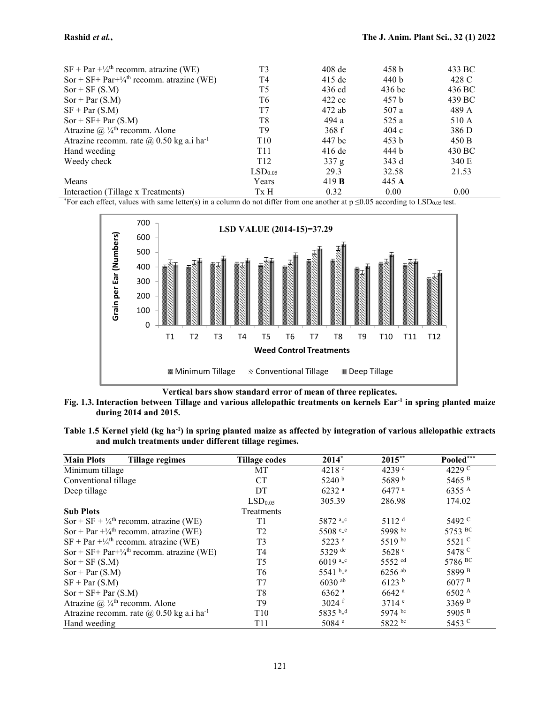| $SF + Par + \frac{1}{4}$ recomm. atrazine (WE)                   | T <sub>3</sub>      | $408$ de     | 458 <sub>b</sub> | 433 BC |
|------------------------------------------------------------------|---------------------|--------------|------------------|--------|
| Sor + SF+ Par+ $\frac{1}{4}$ <sup>th</sup> recomm. atrazine (WE) | T4                  | $415$ de     | 440 b            | 428 C  |
| $Sor + SF(S.M)$                                                  | T5                  | 436 cd       | $436$ bc         | 436 BC |
| $Sor + Par(S.M)$                                                 | T6                  | 422 ce       | 457 b            | 439 BC |
| $SF + Par(S.M)$                                                  | T7                  | 472 ab       | 507 a            | 489 A  |
| $Sor + SF + Par(S.M)$                                            | T8                  | 494 a        | 525 a            | 510 A  |
| Atrazine $@{1/4}^{\text{th}}$ recomm. Alone                      | T9                  | 368f         | 404c             | 386 D  |
| Atrazine recomm. rate $\omega$ 0.50 kg a.i ha <sup>-1</sup>      | T <sub>10</sub>     | 447 bc       | 453 b            | 450 B  |
| Hand weeding                                                     | T <sub>11</sub>     | $416$ de     | 444 b            | 430 BC |
| Weedy check                                                      | T <sub>12</sub>     | 337 g        | 343 d            | 340 E  |
|                                                                  | LSD <sub>0.05</sub> | 29.3         | 32.58            | 21.53  |
| Means                                                            | Years               | 419 $\bf{B}$ | 445 A            |        |
| Interaction (Tillage x Treatments)                               | Tx H                | 0.32         | 0.00             | 0.00   |
|                                                                  |                     |              |                  |        |

\*For each effect, values with same letter(s) in a column do not differ from one another at  $p \le 0.05$  according to LSD<sub>0.05</sub> test.



**Vertical bars show standard error of mean of three replicates.**

Fig. 1.3. Interaction between Tillage and various allelopathic treatments on kernels Ear<sup>-1</sup> in spring planted maize **during 2014 and 2015.**

Table 1.5 Kernel yield (kg ha<sup>-1</sup>) in spring planted maize as affected by integration of various allelopathic extracts **and mulch treatments under different tillage regimes.**

| <b>Main Plots</b><br><b>Tillage regimes</b>                      | Tillage codes       | $2014*$                 | $2015***$            | Pooled***         |
|------------------------------------------------------------------|---------------------|-------------------------|----------------------|-------------------|
| Minimum tillage                                                  | MT                  | 4218 <sup>c</sup>       | 4239 c               | 4229 <sup>c</sup> |
| Conventional tillage                                             | <b>CT</b>           | 5240 <sup>b</sup>       | 5689 b               | 5465 <sup>B</sup> |
| Deep tillage                                                     | DT                  | $6232$ <sup>a</sup>     | $6477$ <sup>a</sup>  | 6355 A            |
|                                                                  | LSD <sub>0.05</sub> | 305.39                  | 286.98               | 174.02            |
| <b>Sub Plots</b>                                                 | Treatments          |                         |                      |                   |
| Sor + SF + $\frac{1}{4}$ <sup>th</sup> recomm. atrazine (WE)     | T1                  | 5872 <sup>a_c</sup>     | 5112 <sup>d</sup>    | 5492 <sup>c</sup> |
| Sor + Par $+\frac{1}{4}$ <sup>th</sup> recomm. atrazine (WE)     | T <sub>2</sub>      | 5508 c_e                | 5998 bc              | 5753 BC           |
| $SF + Par + \frac{1}{4}$ recomm. atrazine (WE)                   | T <sub>3</sub>      | 5223 e                  | $5519^{bc}$          | 5521 $\rm ^{c}$   |
| Sor + SF+ Par+ $\frac{1}{4}$ <sup>th</sup> recomm. atrazine (WE) | T4                  | 5329 de                 | 5628 c               | 5478 <sup>c</sup> |
| $Sor + SF(S.M)$                                                  | T <sub>5</sub>      | $6019$ <sup>a_c</sup>   | 5552 cd              | 5786 BC           |
| $Sor + Par(S.M)$                                                 | T6                  | 5541 $b_e$ <sup>e</sup> | $6256$ <sup>ab</sup> | 5899 <sup>B</sup> |
| $SF + Par(S.M)$                                                  | T7                  | $6030$ <sup>ab</sup>    | 6123 <sup>b</sup>    | 6077 <sup>B</sup> |
| $Sor + SF + Par(S.M)$                                            | T <sub>8</sub>      | $6362$ <sup>a</sup>     | $6642$ <sup>a</sup>  | 6502 A            |
| Atrazine @ $\frac{1}{4}$ <sup>th</sup> recomm. Alone             | T <sub>9</sub>      | $3024$ f                | 3714 e               | 3369 <sup>D</sup> |
| Atrazine recomm. rate $\omega$ 0.50 kg a.i ha <sup>-1</sup>      | T <sub>10</sub>     | 5835 b_d                | 5974 bc              | 5905 <sup>B</sup> |
| Hand weeding                                                     | T <sub>11</sub>     | 5084 e                  | 5822 bc              | 5453 C            |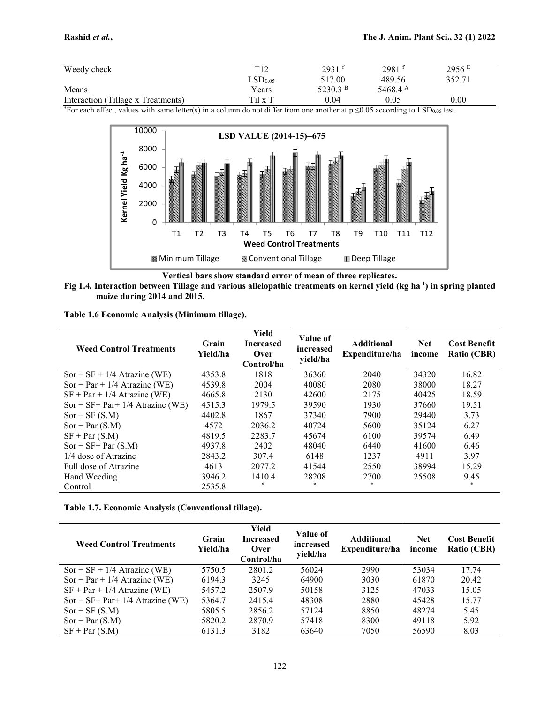| Weedy check                        | T12                 | 2931       | $2981$ <sup>t</sup> | 2956 E   |
|------------------------------------|---------------------|------------|---------------------|----------|
|                                    | LSD <sub>0.05</sub> | 517.00     | 489.56              | 352.71   |
| Means                              | Years               | 5230.3 $B$ | 5468.4 $^{\rm A}$   |          |
| Interaction (Tillage x Treatments) | Til x T             | 0.04       | 0.05                | $0.00\,$ |

\*For each effect, values with same letter(s) in a column do not differ from one another at  $p \le 0.05$  according to LSD<sub>0.05</sub> test.



**Vertical bars show standard error of mean of three replicates.**

Fig 1.4. Interaction between Tillage and various allelopathic treatments on kernel yield (kg ha<sup>-1</sup>) in spring planted **maize during 2014 and 2015.**

**Table 1.6 Economic Analysis (Minimum tillage).**

| <b>Weed Control Treatments</b>       | Grain<br>Yield/ha | Yield<br><b>Increased</b><br>Over<br>Control/ha | Value of<br>increased<br>yield/ha | <b>Additional</b><br>Expenditure/ha | <b>Net</b><br>income | <b>Cost Benefit</b><br>Ratio (CBR) |
|--------------------------------------|-------------------|-------------------------------------------------|-----------------------------------|-------------------------------------|----------------------|------------------------------------|
| $Sor + SF + 1/4$ Atrazine (WE)       | 4353.8            | 1818                                            | 36360                             | 2040                                | 34320                | 16.82                              |
| $Sor + Par + 1/4$ Atrazine (WE)      | 4539.8            | 2004                                            | 40080                             | 2080                                | 38000                | 18.27                              |
| $SF + Par + 1/4$ Atrazine (WE)       | 4665.8            | 2130                                            | 42600                             | 2175                                | 40425                | 18.59                              |
| $Sor + SF + Par + 1/4$ Atrazine (WE) | 4515.3            | 1979.5                                          | 39590                             | 1930                                | 37660                | 19.51                              |
| $Sor + SF(S.M)$                      | 4402.8            | 1867                                            | 37340                             | 7900                                | 29440                | 3.73                               |
| $Sor + Par(S.M)$                     | 4572              | 2036.2                                          | 40724                             | 5600                                | 35124                | 6.27                               |
| $SF + Par(S.M)$                      | 4819.5            | 2283.7                                          | 45674                             | 6100                                | 39574                | 6.49                               |
| $Sor + SF + Par(S.M)$                | 4937.8            | 2402                                            | 48040                             | 6440                                | 41600                | 6.46                               |
| 1/4 dose of Atrazine                 | 2843.2            | 307.4                                           | 6148                              | 1237                                | 4911                 | 3.97                               |
| Full dose of Atrazine                | 4613              | 2077.2                                          | 41544                             | 2550                                | 38994                | 15.29                              |
| Hand Weeding                         | 3946.2            | 1410.4                                          | 28208                             | 2700                                | 25508                | 9.45                               |
| Control                              | 2535.8            | $\star$                                         | $\star$                           |                                     |                      | $\ast$                             |

**Table 1.7. Economic Analysis (Conventional tillage).**

| <b>Weed Control Treatments</b>       | Grain<br>Yield/ha | Yield<br><b>Increased</b><br>Over<br>Control/ha | Value of<br>increased<br>vield/ha | <b>Additional</b><br>Expenditure/ha | <b>Net</b><br>income | <b>Cost Benefit</b><br><b>Ratio (CBR)</b> |
|--------------------------------------|-------------------|-------------------------------------------------|-----------------------------------|-------------------------------------|----------------------|-------------------------------------------|
| $Sor + SF + 1/4$ Atrazine (WE)       | 5750.5            | 2801.2                                          | 56024                             | 2990                                | 53034                | 17.74                                     |
| Sor + Par + $1/4$ Atrazine (WE)      | 6194.3            | 3245                                            | 64900                             | 3030                                | 61870                | 20.42                                     |
| $SF + Par + 1/4$ Atrazine (WE)       | 5457.2            | 2507.9                                          | 50158                             | 3125                                | 47033                | 15.05                                     |
| $Sor + SF + Par + 1/4$ Atrazine (WE) | 5364.7            | 2415.4                                          | 48308                             | 2880                                | 45428                | 15.77                                     |
| $Sor + SF(S.M)$                      | 5805.5            | 2856.2                                          | 57124                             | 8850                                | 48274                | 5.45                                      |
| $Sor + Par(S.M)$                     | 5820.2            | 2870.9                                          | 57418                             | 8300                                | 49118                | 5.92                                      |
| $SF + Par(S.M)$                      | 6131.3            | 3182                                            | 63640                             | 7050                                | 56590                | 8.03                                      |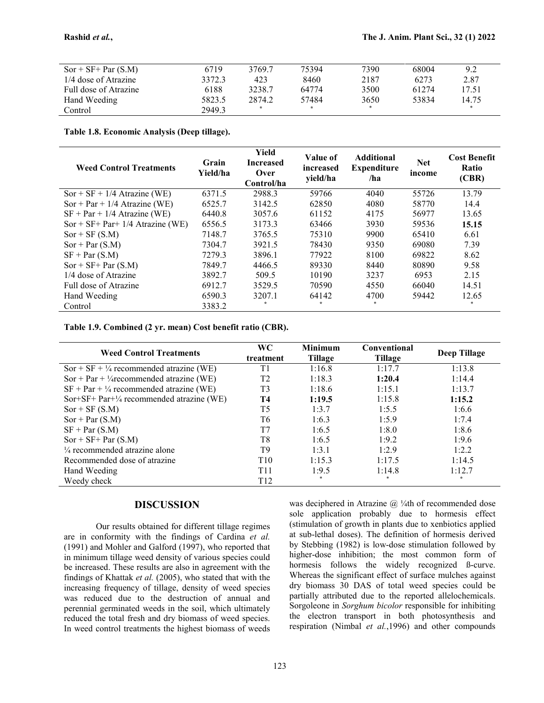| $Sor + SF + Par(S.M)$ | 6719   | 3769.7 | 75394 | 7390 | 68004 | 9.2   |
|-----------------------|--------|--------|-------|------|-------|-------|
| 1/4 dose of Atrazine  | 3372.3 | 423    | 8460  | 2187 | 6273  | 2.87  |
| Full dose of Atrazine | 6188   | 3238.7 | 64774 | 3500 | 61274 | 17.51 |
| Hand Weeding          | 5823.5 | 2874.2 | 57484 | 3650 | 53834 | 14.75 |
| Control               | 2949.3 |        | ÷     |      |       |       |

**Table 1.8. Economic Analysis (Deep tillage).**

| <b>Weed Control Treatments</b>       | Grain<br>Yield/ha | Yield<br><b>Increased</b><br>Over<br>Control/ha | Value of<br>increased<br>yield/ha | <b>Additional</b><br><b>Expenditure</b><br>/ha | <b>Net</b><br>income | <b>Cost Benefit</b><br>Ratio<br>(CBR) |
|--------------------------------------|-------------------|-------------------------------------------------|-----------------------------------|------------------------------------------------|----------------------|---------------------------------------|
| $Sor + SF + 1/4$ Atrazine (WE)       | 6371.5            | 2988.3                                          | 59766                             | 4040                                           | 55726                | 13.79                                 |
| $Sor + Par + 1/4$ Atrazine (WE)      | 6525.7            | 3142.5                                          | 62850                             | 4080                                           | 58770                | 14.4                                  |
| $SF + Par + 1/4$ Atrazine (WE)       | 6440.8            | 3057.6                                          | 61152                             | 4175                                           | 56977                | 13.65                                 |
| $Sor + SF + Par + 1/4$ Atrazine (WE) | 6556.5            | 3173.3                                          | 63466                             | 3930                                           | 59536                | 15.15                                 |
| $Sor + SF(S.M)$                      | 7148.7            | 3765.5                                          | 75310                             | 9900                                           | 65410                | 6.61                                  |
| $Sor + Par(S.M)$                     | 7304.7            | 3921.5                                          | 78430                             | 9350                                           | 69080                | 7.39                                  |
| $SF + Par(S.M)$                      | 7279.3            | 3896.1                                          | 77922                             | 8100                                           | 69822                | 8.62                                  |
| $Sor + SF + Par(S.M)$                | 7849.7            | 4466.5                                          | 89330                             | 8440                                           | 80890                | 9.58                                  |
| 1/4 dose of Atrazine                 | 3892.7            | 509.5                                           | 10190                             | 3237                                           | 6953                 | 2.15                                  |
| Full dose of Atrazine                | 6912.7            | 3529.5                                          | 70590                             | 4550                                           | 66040                | 14.51                                 |
| Hand Weeding                         | 6590.3            | 3207.1                                          | 64142                             | 4700                                           | 59442                | 12.65                                 |
| Control                              | 3383.2            |                                                 | $\star$                           | $\ast$                                         |                      | $\ast$                                |

**Table 1.9. Combined (2 yr. mean) Cost benefit ratio (CBR).**

| <b>Weed Control Treatments</b>                      | <b>WC</b><br>treatment | <b>Minimum</b><br>Tillage | <b>Conventional</b><br>Tillage | <b>Deep Tillage</b> |
|-----------------------------------------------------|------------------------|---------------------------|--------------------------------|---------------------|
| $Sor + SF + \frac{1}{4}$ recommended atrazine (WE)  | T1                     | 1:16.8                    | 1:17.7                         | 1:13.8              |
| Sor + Par + $\frac{1}{4}$ recommended atrazine (WE) | T2                     | 1:18.3                    | 1:20.4                         | 1:14.4              |
| $SF + Par + \frac{1}{4}$ recommended atrazine (WE)  | T3                     | 1:18.6                    | 1:15.1                         | 1:13.7              |
| Sor+SF+ Par+1/4 recommended atrazine (WE)           | Т4                     | 1:19.5                    | 1:15.8                         | 1:15.2              |
| $Sor + SF(S.M)$                                     | T <sub>5</sub>         | 1:3.7                     | 1:5.5                          | 1:6.6               |
| $Sor + Par(S.M)$                                    | T6                     | 1:6.3                     | 1:5.9                          | 1:7.4               |
| $SF + Par(S.M)$                                     | T7                     | 1:6.5                     | 1:8.0                          | 1:8.6               |
| $Sor + SF + Par(S.M)$                               | T8                     | 1:6.5                     | 1:9.2                          | 1:9.6               |
| $\frac{1}{4}$ recommended atrazine alone            | T9                     | 1:3.1                     | 1:2.9                          | 1:2.2               |
| Recommended dose of atrazine                        | T <sub>10</sub>        | 1:15.3                    | 1:17.5                         | 1:14.5              |
| Hand Weeding                                        | T11                    | 1:9.5                     | 1:14.8                         | 1:12.7              |
| Weedy check                                         | T <sub>12</sub>        |                           |                                | <b>A</b>            |

### **DISCUSSION**

Our results obtained for different tillage regimes are in conformity with the findings of Cardina *et al.* (1991) and Mohler and Galford (1997), who reported that in minimum tillage weed density of various species could be increased. These results are also in agreement with the findings of Khattak *et al.* (2005), who stated that with the increasing frequency of tillage, density of weed species was reduced due to the destruction of annual and perennial germinated weeds in the soil, which ultimately reduced the total fresh and dry biomass of weed species. In weed control treatments the highest biomass of weeds was deciphered in Atrazine  $(a)$  ¼th of recommended dose sole application probably due to hormesis effect (stimulation of growth in plants due to xenbiotics applied at sub-lethal doses). The definition of hormesis derived by Stebbing (1982) is low-dose stimulation followed by higher-dose inhibition; the most common form of hormesis follows the widely recognized ß-curve. Whereas the significant effect of surface mulches against dry biomass 30 DAS of total weed species could be partially attributed due to the reported allelochemicals. Sorgoleone in *Sorghum bicolor* responsible for inhibiting the electron transport in both photosynthesis and respiration (Nimbal *et al.*,1996) and other compounds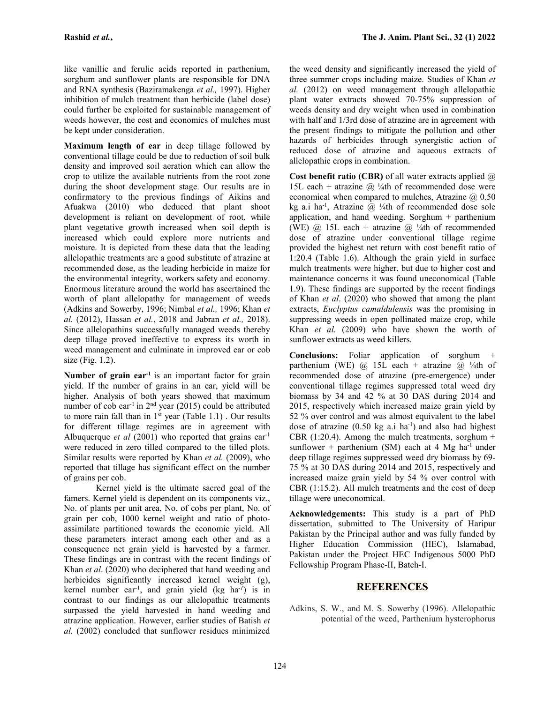**Rashid** *et al.***, The J. Anim. Plant Sci., 32 (1) 2022**

like vanillic and ferulic acids reported in parthenium, sorghum and sunflower plants are responsible for DNA and RNA synthesis (Baziramakenga *et al.,* 1997). Higher inhibition of mulch treatment than herbicide (label dose) could further be exploited for sustainable management of weeds however, the cost and economics of mulches must be kept under consideration.

**Maximum length of ear** in deep tillage followed by conventional tillage could be due to reduction of soil bulk density and improved soil aeration which can allow the crop to utilize the available nutrients from the root zone during the shoot development stage. Our results are in confirmatory to the previous findings of Aikins and Afuakwa (2010) who deduced that plant shoot development is reliant on development of root, while plant vegetative growth increased when soil depth is increased which could explore more nutrients and moisture. It is depicted from these data that the leading allelopathic treatments are a good substitute of atrazine at recommended dose, as the leading herbicide in maize for the environmental integrity, workers safety and economy. Enormous literature around the world has ascertained the worth of plant allelopathy for management of weeds (Adkins and Sowerby, 1996; Nimbal *et al.,* 1996; Khan *et al.* (2012), Hassan *et al.*, 2018 and Jabran *et al.,* 2018). Since allelopathins successfully managed weeds thereby deep tillage proved ineffective to express its worth in weed management and culminate in improved ear or cob size (Fig. 1.2).

**Number of grain ear-1** is an important factor for grain yield. If the number of grains in an ear, yield will be higher. Analysis of both years showed that maximum number of cob ear<sup>-1</sup> in  $2<sup>nd</sup>$  year (2015) could be attributed 201 to more rain fall than in  $1<sup>st</sup>$  year (Table 1.1). Our results 52 for different tillage regimes are in agreement with Albuquerque *et al* (2001) who reported that grains ear-1 were reduced in zero tilled compared to the tilled plots. Similar results were reported by Khan *et al.* (2009), who reported that tillage has significant effect on the number of grains per cob.

Kernel yield is the ultimate sacred goal of the famers. Kernel yield is dependent on its components viz., No. of plants per unit area, No. of cobs per plant, No. of grain per cob, 1000 kernel weight and ratio of photo assimilate partitioned towards the economic yield. All these parameters interact among each other and as a consequence net grain yield is harvested by a farmer. These findings are in contrast with the recent findings of Khan *et al*. (2020) who deciphered that hand weeding and herbicides significantly increased kernel weight (g), kernel number ear-1 , and grain yield (kg ha*-1*) is in contrast to our findings as our allelopathic treatments surpassed the yield harvested in hand weeding and atrazine application. However, earlier studies of Batish *et al.* (2002) concluded that sunflower residues minimized

the weed density and significantly increased the yield of three summer crops including maize. Studies of Khan *et al.* (2012) on weed management through allelopathic plant water extracts showed 70-75% suppression of weeds density and dry weight when used in combination with half and 1/3rd dose of atrazine are in agreement with the present findings to mitigate the pollution and other hazards of herbicides through synergistic action of reduced dose of atrazine and aqueous extracts of allelopathic crops in combination.

**Cost benefit ratio (CBR)** of all water extracts applied @ 15L each + atrazine  $\omega$  ¼th of recommended dose were economical when compared to mulches, Atrazine  $\omega$  0.50 kg a.i ha<sup>-1</sup>, Atrazine @ ¼th of recommended dose sole application, and hand weeding. Sorghum + parthenium (WE)  $\omega$  15L each + atrazine  $\omega$  ¼th of recommended dose of atrazine under conventional tillage regime provided the highest net return with cost benefit ratio of 1:20.4 (Table 1.6). Although the grain yield in surface mulch treatments were higher, but due to higher cost and maintenance concerns it was found uneconomical (Table 1.9). These findings are supported by the recent findings of Khan *et al*. (2020) who showed that among the plant extracts, *Euclyptus camaldulensis* was the promising in suppressing weeds in open pollinated maize crop, while Khan *et al.* (2009) who have shown the worth of sunflower extracts as weed killers.

**Conclusions:** Foliar application of sorghum + parthenium (WE)  $\omega$  15L each + atrazine  $\omega$  ¼th of recommended dose of atrazine (pre-emergence) under conventional tillage regimes suppressed total weed dry biomass by 34 and 42 % at 30 DAS during 2014 and 2015, respectively which increased maize grain yield by 52 % over control and was almost equivalent to the label dose of atrazine  $(0.50 \text{ kg a.i ha}^{-1})$  and also had highest CBR (1:20.4). Among the mulch treatments, sorghum  $+$ sunflower + parthenium (SM) each at 4 Mg ha<sup>-1</sup> under deep tillage regimes suppressed weed dry biomass by 69- 75 % at 30 DAS during 2014 and 2015, respectively and increased maize grain yield by 54 % over control with CBR (1:15.2). All mulch treatments and the cost of deep tillage were uneconomical.

**Acknowledgements:** This study is a part of PhD dissertation, submitted to The University of Haripur Pakistan by the Principal author and was fully funded by Higher Education Commission (HEC), Islamabad, Pakistan under the Project HEC Indigenous 5000 PhD Fellowship Program Phase-II, Batch-I.

### **REFERENCES**

Adkins, S. W., and M. S. Sowerby (1996). Allelopathic potential of the weed, Parthenium hysterophorus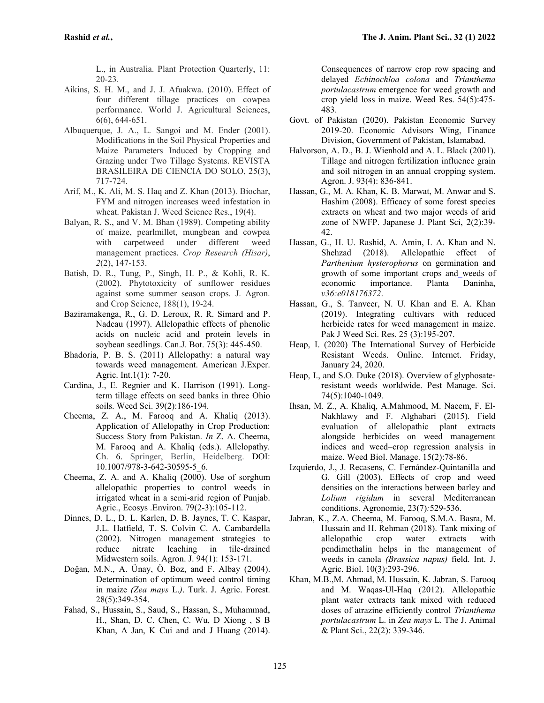L., in Australia. Plant Protection Quarterly, 11: 20-23.

- Aikins, S. H. M., and J. J. Afuakwa. (2010). Effect of four different tillage practices on cowpea performance. World J. Agricultural Sciences, 6(6), 644-651.
- Albuquerque, J. A., L. Sangoi and M. Ender (2001). Modifications in the Soil Physical Properties and Maize Parameters Induced by Cropping and Grazing under Two Tillage Systems. REVISTA BRASILEIRA DE CIENCIA DO SOLO, 25(3), 717-724.
- Arif, M., K. Ali, M. S. Haq and Z. Khan (2013). Biochar, FYM and nitrogen increases weed infestation in wheat. Pakistan J. Weed Science Res., 19(4).
- Balyan, R. S., and V. M. Bhan (1989). Competing ability of maize, pearlmillet, mungbean and cowpea with carpetweed under different weed management practices. *Crop Research (Hisar)*, *2*(2), 147-153.
- Batish, D. R., Tung, P., Singh, H. P., & Kohli, R. K. (2002). Phytotoxicity of sunflower residues against some summer season crops. J. Agron. and Crop Science, 188(1), 19-24.
- Baziramakenga, R., G. D. Leroux, R. R. Simard and P. Nadeau (1997). Allelopathic effects of phenolic acids on nucleic acid and protein levels in soybean seedlings. Can.J. Bot. 75(3): 445-450.
- Bhadoria, P. B. S. (2011) Allelopathy: a natural way towards weed management. American J.Exper. Agric. Int.1(1): 7-20.
- Cardina, J., E. Regnier and K. Harrison (1991). Longterm tillage effects on seed banks in three Ohio soils. Weed Sci.39(2):186-194.
- Cheema, Z. A., M. Farooq and A. Khaliq (2013). Application of Allelopathy in Crop Production: Success Story from Pakistan. *In* Z. A. Cheema, M. Farooq and A. Khaliq (eds.). Allelopathy. Ch. 6. Springer, Berlin, Heidelberg. DOI: 10.1007/978-3-642-30595-5\_6.
- Cheema, Z. A. and A. Khaliq (2000). Use of sorghum allelopathic properties to control weeds in irrigated wheat in a semi-arid region of Punjab. Agric., Ecosys .Environ. 79(2-3):105-112.
- Dinnes, D. L., D. L. Karlen, D. B. Jaynes, T. C. Kaspar, J.L. Hatfield, T. S. Colvin C. A. Cambardella (2002). Nitrogen management strategies to reduce nitrate leaching in tile-drained Midwestern soils. Agron. J. 94(1): 153-171.
- Doğan, M.N., A. Ünay, Ö. Boz, and F. Albay (2004). Determination of optimum weed control timing in maize *(Zea mays* L.*)*. Turk. J. Agric. Forest. 28(5):349-354.
- Fahad, S., Hussain, S., Saud, S., Hassan, S., Muhammad, H., Shan, D. C. Chen, C. Wu, D Xiong , S B Khan, A Jan, K Cui and and J Huang (2014).

Consequences of narrow crop row spacing and delayed *Echinochloa colona* and *Trianthema portulacastrum* emergence for weed growth and crop yield loss in maize. Weed Res. 54(5):475- 483.

- Govt. of Pakistan (2020). Pakistan Economic Survey 2019-20. Economic Advisors Wing, Finance Division, Government of Pakistan, Islamabad.
- Halvorson, A. D., B. J. Wienhold and A. L. Black (2001). Tillage and nitrogen fertilization influence grain and soil nitrogen in an annual cropping system. Agron. J. 93(4): 836-841.
- Hassan, G., M. A. Khan, K. B. Marwat, M. Anwar and S. Hashim (2008). Efficacy of some forest species extracts on wheat and two major weeds of arid zone of NWFP. Japanese J. Plant Sci, 2(2):39- 42.
- Hassan, G., H. U. Rashid, A. Amin, I. A. Khan and N. Shehzad (2018). Allelopathic effect of *Parthenium hysterophorus* on germination and growth of some important crops and weeds of economic importance. Planta Daninha, *v36:e018176372*.
- Hassan, G., S. Tanveer, N. U. Khan and E. A. Khan (2019). Integrating cultivars with reduced herbicide rates for weed management in maize. Pak J Weed Sci. Res. 25 (3):195-207.
- Heap, I. (2020) The International Survey of Herbicide Resistant Weeds. Online. Internet. Friday, January 24, 2020.
- Heap, I., and S.O. Duke (2018). Overview of glyphosate-<br>resistant weeds worldwide. Pest Manage. Sci. 74(5):1040-1049.
- Ihsan, M. Z., A. Khaliq, A.Mahmood, M. Naeem, F. El- Nakhlawy and F. Alghabari (2015). Field evaluation of allelopathic plant extracts alongside herbicides on weed management indices and weed–crop regression analysis in maize. Weed Biol. Manage. 15(2):78-86.
- Izquierdo, J., J. Recasens, C. Fernández-Quintanilla and G. Gill (2003). Effects of crop and weed densities on the interactions between barley and *Lolium rigidum* in several Mediterranean conditions. Agronomie, 23(7)*:*529-536.
- Jabran, K., Z.A. Cheema, M. Farooq, S.M.A. Basra, M. Hussain and H. Rehman (2018). Tank mixing of allelopathic crop water extracts with pendimethalin helps in the management of weeds in canola *(Brassica napus)* field. Int. J. Agric. Biol. 10(3):293-296.
- Khan, M.B.,M. Ahmad, M. Hussain, K. Jabran, S. Farooq and M. Waqas-Ul-Haq (2012). Allelopathic plant water extracts tank mixed with reduced doses of atrazine efficiently control *Trianthema portulacastrum* L. in *Zea mays* L. The J. Animal & Plant Sci., 22(2): 339-346.